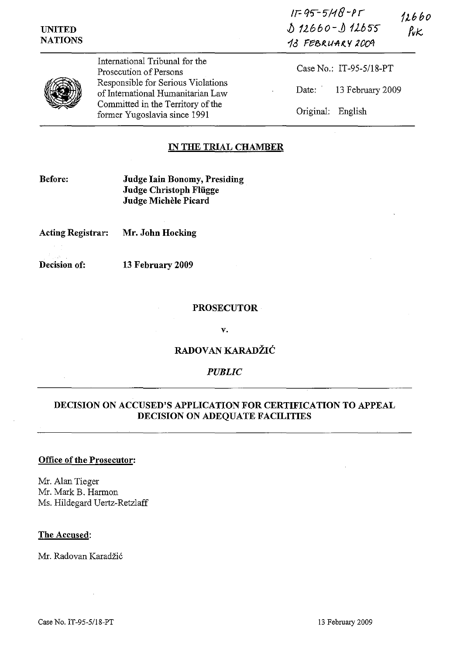| <b>UNITED</b><br><b>NATIONS</b> |                                                                         | $11 - 95 - 5118 - P1$<br>12660<br>$12660 - 112655$<br>$\n  rk\n$<br>13 FEBRUARY 2009 |
|---------------------------------|-------------------------------------------------------------------------|--------------------------------------------------------------------------------------|
|                                 | International Tribunal for the<br>Prosecution of Persons                | Case No.: IT-95-5/18-PT                                                              |
|                                 | Responsible for Serious Violations<br>of International Humanitarian Law | Date: 13 February 2009                                                               |
|                                 | Committed in the Territory of the<br>former Yugoslavia since 1991       | Original:<br>English                                                                 |

## IN THE TRIAL CHAMBER

Before: Judge lain Bonomy, Presiding Judge Christoph Fliigge Judge Michèle Picard

Acting Registrar: Mr. John Hocking

Decision of: 13 February 2009

#### PROSECUTOR

v.

### RADOVAN KARADŽIĆ

### *PUBLIC*

# DECISION ON ACCUSED'S APPLICATION FOR CERTIFICATION TO APPEAL DECISION ON ADEQUATE FACILITIES

# Office of the Prosecutor:

Mr. Alan Tieger Mr. Mark B. Harmon Ms. Hildegard Uertz-Retzlaff

#### The Accused:

Mr. Radovan Karadžić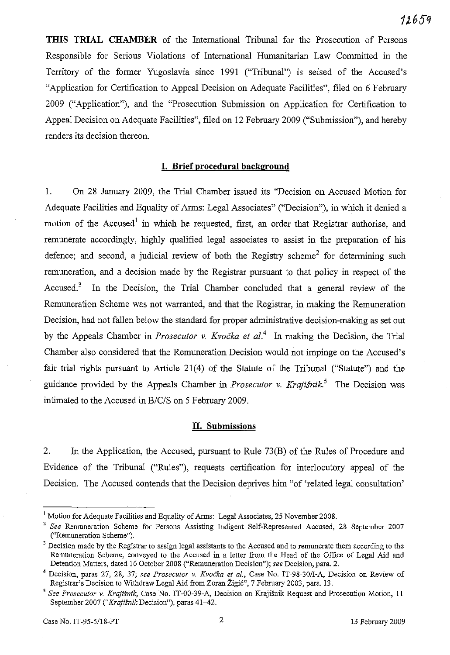**THIS TRIAL CHAMBER** of the International Tribunal for the Prosecution of Persons Responsible for Serious Violations of International Humanitarian Law Committed in the Territory of the former Yugoslavia since 1991 ("Tribunal") is seised of the Accused's "Application for Certification to Appeal Decision on Adequate Facilities", filed on 6 February 2009 ("Application"), and the "Prosecution Submission on Application for Certification to Appeal Decision on Adequate Facilities", filed on 12 February 2009 ("Submission"), and hereby renders its decision thereon.

#### **I. Brief procedural background**

1. On 28 January 2009, the Trial Chamber issued its "Decision on Accused Motion for Adequate Facilities and Equality of Arms: Legal Associates" ("Decision"), in which it denied a motion of the Accused<sup>1</sup> in which he requested, first, an order that Registrar authorise, and remunerate accordingly, highly qualified legal associates to assist in the preparation of his defence; and second, a judicial review of both the Registry scheme<sup>2</sup> for determining such remuneration, and a decision made by the Registrar pursuant to that policy in respect of the Accused.<sup>3</sup> In the Decision, the Trial Chamber concluded that a general review of the Remuneration Scheme was not warranted, and that the Registrar, in making the Remuneration Decision, had not fallen below the standard for proper administrative decision-making as set out by the Appeals Chamber in *Prosecutor* v. Kvočka et al.<sup>4</sup> In making the Decision, the Trial Chamber also considered that the Remuneration Decision would not impinge on the Accused's fair trial rights pursuant to Article 21(4) of the Statute of the Tribunal ("Statute") and the guidance provided by the Appeals Chamber in *Prosecutor* v. *Krajisnik.'* The Decision was intimated to the Accused in *B/C/S* on 5 February 2009.

## **II. Submissions**

2. In the Application, the Accused, pursuant to Rule 73(B) of the Rules of Procedure and Evidence of the Tribunal ("Rules"), requests certification for interlocutory appeal of the Decision. The Accused contends that the Decision deprives him "of 'related legal consultation'

<sup>&</sup>lt;sup>1</sup> Motion for Adequate Facilities and Equality of Arms: Legal Associates, 25 November 2008.

<sup>2</sup> *See* Remuneration Scheme for Persons Assisting Indigent Self-Represented Accused, 28 September 2007 ("Remuneration Scheme").

<sup>&</sup>lt;sup>3</sup> Decision made by the Registrar to assign legal assistants to the Accused and to remunerate them according to the Remuneration Scheme, conveyed to the Accused in a letter from the Head of the Office of Legal Aid and Detention Matters, dated 16 October 2008 ("Remuneration Decision"); *see* Decision, para. 2.

<sup>4</sup> Decision, paras 27, 28, 37; *see Prosecutor* v. *Kvocka et aI.,* Case No. IT-98-301I-A, Decision on Review of Registrar's Decision to Withdraw Legal Aid from Zoran Zigi6", 7 February 2003, para. 13.

*<sup>5</sup> See Prosecutor* v. *Krajisnik,* Case No. IT-00-39-A, Decision on KrajiSnik Request and Prosecution Motion, II September 2007 *("Krajisnik* Decision"), paras 41-42.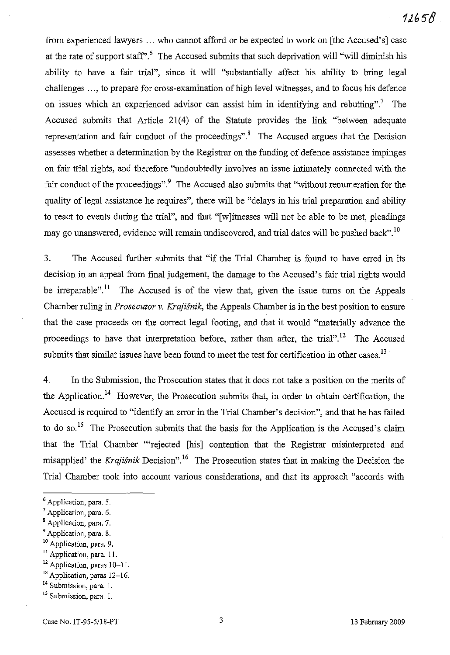from experienced lawyers ... who cannot afford or be expected to work on [the Accused's] case at the rate of support staff<sup> $\cdot$ , <sup>6</sup> The Accused submits that such deprivation will "will diminish his</sup> ability to have a fair trial", since it will "substantially affect his ability to bring legal challenges ..., to prepare for cross-examination of high level witnesses, and to focus his defence on issues which an experienced advisor can assist him in identifying and rebutting".<sup>7</sup> The Accused submits that Article 21(4) of the Statute provides the link "between adequate representation and fair conduct of the proceedings".<sup>8</sup> The Accused argues that the Decision assesses whether a determination by the Registrar on the funding of defence assistance impinges on fair trial rights, and therefore "undoubtedly involves an issue intimately connected with the fair conduct of the proceedings".<sup>9</sup> The Accused also submits that "without remuneration for the quality of legal assistance he requires", there will be "delays in his trial preparation and ability to react to events during the trial", and that "[w]itnesses will not be able to be met, pleadings may go unanswered, evidence will remain undiscovered, and trial dates will be pushed back". <sup>10</sup>

3. The Accused further submits that "if the Trial Chamber is found to have erred in its decision in an appeal from final judgement, the damage to the Accused's fair trial rights would be irreparable".<sup>11</sup> The Accused is of the view that, given the issue turns on the Appeals Chamber ruling in *Prosecutor v. Krajisnik,* the Appeals Chamber is in the best position to ensure that the case proceeds on the correct legal footing, and that it would "materially advance the proceedings to have that interpretation before, rather than after, the trial".<sup>12</sup> The Accused submits that similar issues have been found to meet the test for certification in other cases.<sup>13</sup>

4. In the Submission, the Prosecution states that it does not take a position on the merits of the Application.<sup>14</sup> However, the Prosecution submits that, in order to obtain certification, the Accused is required to "identify an error in the Trial Chamber's decision", and that he has failed to do so.<sup>15</sup> The Prosecution submits that the basis for the Application is the Accused's claim that the Trial Chamber "'rejected [his] contention that the Registrar misinterpreted and misapplied' the *Krajisnik* Decision".16 The Prosecution states that in making the Decision the Trial Chamber took into account various considerations, and that its approach "accords with

<sup>11</sup> Application, para. 11.

<sup>6</sup> Application, para. 5.

 $<sup>7</sup>$  Application, para. 6.</sup>

<sup>&</sup>lt;sup>8</sup> Application, para. 7.

<sup>&</sup>lt;sup>9</sup> Application, para. 8.

 $10$  Application, para. 9.

<sup>&</sup>lt;sup>12</sup> Application, paras 10-11.

<sup>&</sup>lt;sup>13</sup> Application, paras 12-16.

<sup>&</sup>lt;sup>14</sup> Submission, para. 1.

<sup>&</sup>lt;sup>15</sup> Submission, para. 1.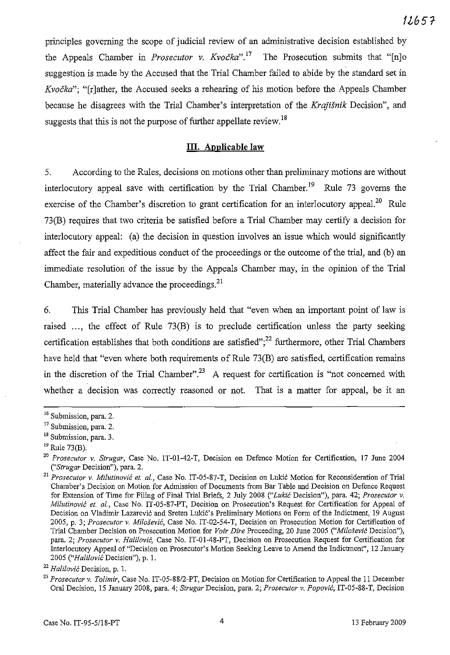principles governing the scope of judicial review of an administrative decision established by the Appeals Chamber in *Prosecutor* v. *Kvočka*".<sup>17</sup> The Prosecution submits that "[n]o suggestion is made by the Accused that the Trial Chamber failed to abide by the standard set in *Kvocka":* "[r]ather, the Accused seeks a rehearing of his motion before the Appeals Chamber because he disagrees with the Trial Chamber's interpretation of the *Krajismk* Decision", and suggests that this is not the purpose of further appellate review.<sup>18</sup>

### **ill. Applicable law**

5. According to the Rules, decisions on motions other than preliminary motions are without interlocutory appeal save with certification by the Trial Chamber.<sup>19</sup> Rule 73 governs the exercise of the Chamber's discretion to grant certification for an interlocutory appeal.<sup>20</sup> Rule 73(B) requires that two criteria be satisfied before a Trial Chamber may certify a decision for interlocutory appeal: (a) the decision in question involves an issue which would significantly affect the fair and expeditious conduct of the proceedings or the outcome of the trial, and (b) an immediate resolution of the issue by the Appeals Chamber may, in the opinion of the Trial Chamber, materially advance the proceedings.<sup>21</sup>

6. This Trial Chamber has previously held that "even when an important point of law is raised ..., the effect of Rule 73(B) is to preclude certification unless the party seeking certification establishes that both conditions are satisfied";<sup>22</sup> furthermore, other Trial Chambers have held that "even where both requirements of Rule 73(B) are satisfied, certification remains in the discretion of the Trial Chamber".<sup>23</sup> A request for certification is "not concerned with whether a decision was correctly reasoned or not. That is a matter for appeal, be it an

**<sup>16</sup> Submission, para. 2.**

**<sup>17</sup> Submission, para. 2.**

**<sup>18</sup> Submission, para. 3.**

 $^{19}$  Rule 73(B).

<sup>20</sup> *Prosecutor* v. *Strugar,* Case No. IT-01-42-T, Decision on Defence Motion for Certification, 17 June 2004 *("Strugar* **Decision"), para. 2.**

<sup>&</sup>lt;sup>21</sup> Prosecutor v. Milutinović et. al., Case No. IT-05-87-T, Decision on Lukić Motion for Reconsideration of Trial Chamber's Decision *on Motion* for Admission *of* Documents from Bar Table and Decision on Defence Request for Extension *of* Time for Filing of Final Trial Briefs, 2 July 2008 *("Lukic* Decision"), para. 42; *Prosecutor* v. *Milutinovic et. al.,* Case No. IT-05-87-PT, Decision on Prosecution's Request for Certification for Appeal of Decision on Vladimir Lazarevic and Sreten Lukic's Preliminary Motions on Form ofthe Indictment, 19 August 2005, p. 3; *Prosecutor* v. Miloievic, Case No. IT-02-54-T, Decision on Prosecution Motion for Certification of Trial Chamber Decision on Prosecution Motion for *Voir Dire* Proceeding, 20 June 2005 *("Milosevic* Decision"), para. 2; *Prosecutor v. Halilovic,* Case No. IT-01-48-PT, Decision on Prosecution Request for Certification for Interlocutory Appeal of "Decision on Prosecutor's Motion Seeking Leave to Amend the Indictment", 12 January *2005 ("Hali!ovic* Decision"), p. 1.

*<sup>22</sup> Halilovic* **Decision, p. 1.**

<sup>23</sup> *Prosecutor* v. *Tolimir,* Case No. IT-05-88/2-PT, Decision on Motion for Certification to Appeal the 11 December Oral Decision, 15 January 2008, para. 4; *Strugar* Decision, para. 2; *Prosecutor* v. *Popovic,* IT-05-88-T, Decision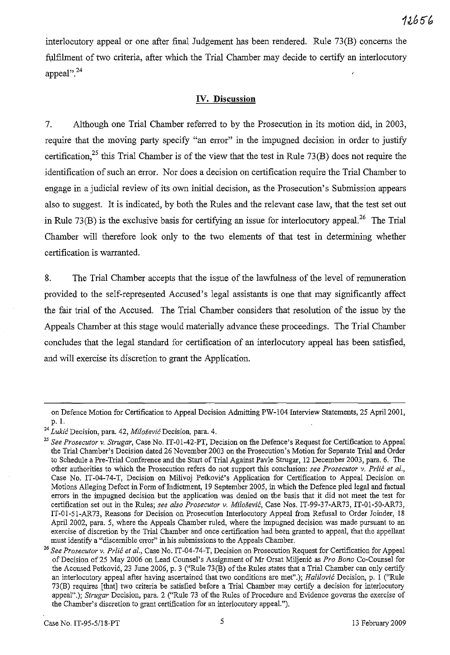interlocutory appeal or one after final Judgement has been rendered. Rule  $73(B)$  concerns the fulfihnent of two criteria, after which the Trial Chamber may decide to certify an interlocutory appeal". $^{24}$ 

## **IV. Discussion**

7. Although one Trial Chamber referred to by the Prosecution in its motion did, in 2003, require that the moving party specify "an error" in the impugned decision in order to justify certification.<sup>25</sup> this Trial Chamber is of the view that the test in Rule 73(B) does not require the identification of such an error. Nor does a decision on certification require the Trial Chamber to engage in a judicial review of its own initial decision, as the Prosecution's Submission appears also to suggest. It is indicated, by both the Rules and the relevant case law, that the test set out in Rule 73(B) is the exclusive basis for certifying an issue for interlocutory appeal.<sup>26</sup> The Trial Chamber will therefore look only to the two elements of that test in determining whether certification is warranted.

8. The Trial Chamber accepts that the issue of the lawfulness of the level of remuneration provided to the self-represented Accused's legal assistants is one that may significantly affect the fair trial of the Accused. The Trial Chamber considers that resolution of the issue by the Appeals Chamber at this stage would materially advance these proceedings. The Trial Chamber concludes that the legal standard for certification of an interlocutory appeal has been satisfied, and will exercise its discretion to grant the Application.

on Defence Motion for Certification to Appeal Decision Admitting PW-104 Interview Statements, 25 April 2001, p. I.

**<sup>24</sup>** *Lukic***Decision, para. 42,** *Milosevic* **Decision, para. 4.**

<sup>&</sup>lt;sup>25</sup> See Prosecutor v. Strugar, Case No. IT-01-42-PT, Decision on the Defence's Request for Certification to Appeal the Trial Chamber's Decision dated 26 November 2003 on the Prosecution's Motion for Separate Trial and Order to Schedule a Pre-Trial Conference and the Start of Trial Against Pavle Strogar, 12 December 2003, para. 6. The other authorities to which the Prosecution refers do not support this conclusion: *see Prosecutor* v. *Prlic et al.,* Case No. IT-04-74-T, Decision on Milivoj Petković's Application for Certification to Appeal Decision on Motions Alleging Defect in Form of Indictment, 19 September 2005, in which the Defence pled legal and factual errors in the impugned decision but the application was denied on the basis that it did not meet the test for certification set out in the Rules; *see also Prosecutor* v. *Milosevic,* Case Nos. IT-99-37-AR73, IT-01-50-AR73, IT-01-51-AR73, Reasons for Decision on Prosecution Interlocutory Appeal from Refusal to Order Joinder, 18 April 2002, para. 5, where the Appeals Chamber ruled, where the impugned decision was made pursuant to an exercise of discretion by the Trial Chamber and once certification had been granted to appeal, that the appellant must identify a "discernible error" in his submissions to the Appeals Chamber.

*<sup>26</sup> See Prosecutor* v. *Prlic et al.,* Case No. IT-04-74-T, Decision on Prosecution Request for Certification for Appeal of Decision of25 May 2006 on Lead Counsel's Assignment ofMr Orsat Miljeni6 as *Pro Bono* Co-Counsel for the Accused Petković, 23 June 2006, p. 3 ("Rule 73(B) of the Rules states that a Trial Chamber can only certify an interlocutory appeal after having ascertained that two conditions are met".); *Halilovic* Decision, p. I ("Rule 73(8) requires [that] two criteria be satisfied before a Trial Chamber may certify a decision for interlocutory appeal".); *Strugar* Decision, para. 2 ("Rule 73 of the Rules of Procedure and Evidence governs the exercise of the Chamber's discretion to grant certification for an interlocutory appeaL").